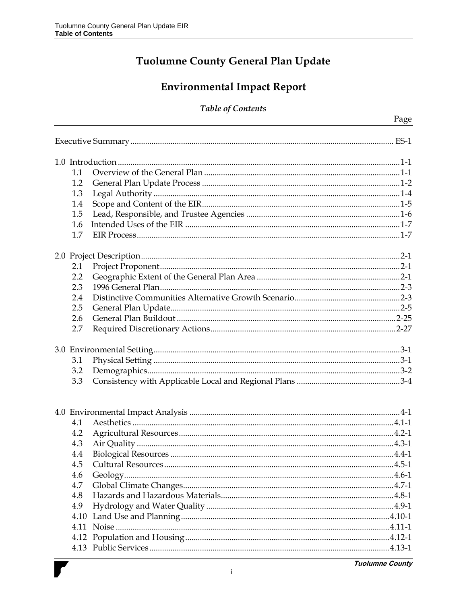## Tuolumne County General Plan Update

# **Environmental Impact Report**

#### **Table of Contents**

| 1.1 |  |
|-----|--|
| 1.2 |  |
| 1.3 |  |
| 1.4 |  |
| 1.5 |  |
| 1.6 |  |
| 1.7 |  |
|     |  |
|     |  |
| 2.1 |  |
| 2.2 |  |
| 2.3 |  |
| 2.4 |  |
| 2.5 |  |
| 2.6 |  |
| 2.7 |  |
|     |  |
| 3.1 |  |
| 3.2 |  |
| 3.3 |  |
|     |  |
|     |  |
| 4.1 |  |
| 4.2 |  |
| 4.3 |  |
| 4.4 |  |
| 4.5 |  |
| 4.6 |  |
| 4.7 |  |
| 4.8 |  |
| 4.9 |  |
|     |  |
|     |  |
|     |  |
|     |  |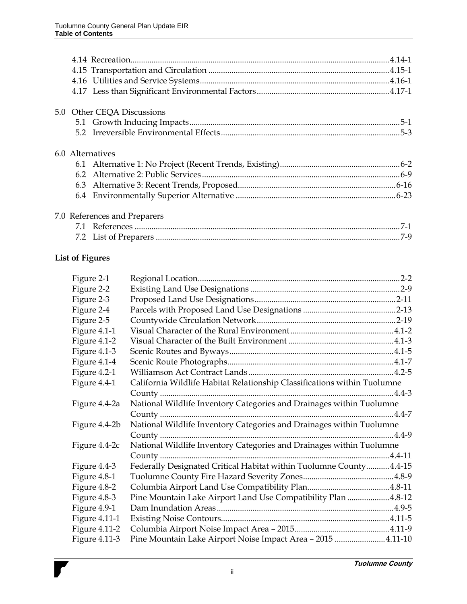| 6.2 | 6.0 Alternatives<br><b>List of Figures</b><br>Figure 2-1<br>Figure 2-2<br>Figure 2-3<br>Figure 2-4<br>Figure 2-5<br>Figure 4.1-1<br>Figure 4.1-2<br>Figure 4.1-3<br>Figure 4.1-4<br>Figure 4.2-1<br>Figure 4.4-1<br>Figure 4.4-2a<br>Figure 4.4-2b<br>Figure 4.4-2c<br>Figure 4.4-3<br>Figure 4.8-1<br>Figure 4.8-2<br>Figure 4.8-3<br>Figure 4.9-1<br><b>Figure 4.11-1</b><br><b>Figure 4.11-2</b> | 5.0 Other CEQA Discussions<br>7.0 References and Preparers<br>California Wildlife Habitat Relationship Classifications within Tuolumne<br>National Wildlife Inventory Categories and Drainages within Tuolumne<br>National Wildlife Inventory Categories and Drainages within Tuolumne<br>National Wildlife Inventory Categories and Drainages within Tuolumne<br>Federally Designated Critical Habitat within Tuolumne County 4.4-15<br>Pine Mountain Lake Airport Land Use Compatibility Plan 4.8-12 |
|-----|-----------------------------------------------------------------------------------------------------------------------------------------------------------------------------------------------------------------------------------------------------------------------------------------------------------------------------------------------------------------------------------------------------|--------------------------------------------------------------------------------------------------------------------------------------------------------------------------------------------------------------------------------------------------------------------------------------------------------------------------------------------------------------------------------------------------------------------------------------------------------------------------------------------------------|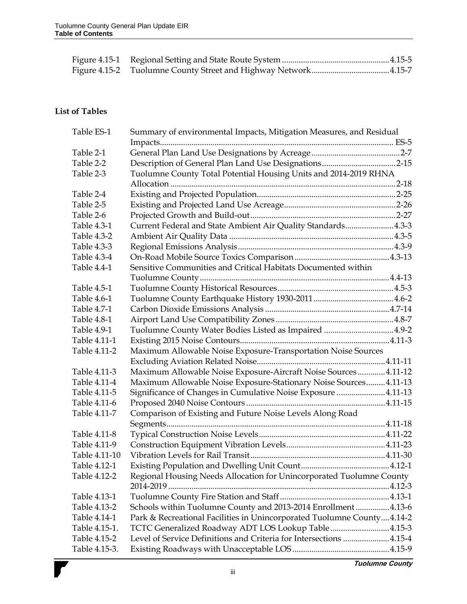### **List of Tables**

| Table ES-1    | Summary of environmental Impacts, Mitigation Measures, and Residual    |  |
|---------------|------------------------------------------------------------------------|--|
|               |                                                                        |  |
| Table 2-1     |                                                                        |  |
| Table 2-2     |                                                                        |  |
| Table 2-3     | Tuolumne County Total Potential Housing Units and 2014-2019 RHNA       |  |
|               |                                                                        |  |
| Table 2-4     |                                                                        |  |
| Table 2-5     |                                                                        |  |
| Table 2-6     |                                                                        |  |
| Table 4.3-1   | Current Federal and State Ambient Air Quality Standards4.3-3           |  |
| Table 4.3-2   |                                                                        |  |
| Table 4.3-3   |                                                                        |  |
| Table 4.3-4   |                                                                        |  |
| Table 4.4-1   | Sensitive Communities and Critical Habitats Documented within          |  |
|               |                                                                        |  |
| Table 4.5-1   |                                                                        |  |
| Table 4.6-1   |                                                                        |  |
| Table 4.7-1   |                                                                        |  |
| Table 4.8-1   |                                                                        |  |
| Table 4.9-1   | Tuolumne County Water Bodies Listed as Impaired 4.9-2                  |  |
| Table 4.11-1  |                                                                        |  |
| Table 4.11-2  | Maximum Allowable Noise Exposure-Transportation Noise Sources          |  |
|               |                                                                        |  |
| Table 4.11-3  | Maximum Allowable Noise Exposure-Aircraft Noise Sources  4.11-12       |  |
| Table 4.11-4  | Maximum Allowable Noise Exposure-Stationary Noise Sources 4.11-13      |  |
| Table 4.11-5  | Significance of Changes in Cumulative Noise Exposure 4.11-13           |  |
| Table 4.11-6  |                                                                        |  |
| Table 4.11-7  | Comparison of Existing and Future Noise Levels Along Road              |  |
|               |                                                                        |  |
| Table 4.11-8  |                                                                        |  |
| Table 4.11-9  |                                                                        |  |
| Table 4.11-10 |                                                                        |  |
| Table 4.12-1  |                                                                        |  |
| Table 4.12-2  | Regional Housing Needs Allocation for Unincorporated Tuolumne County   |  |
|               |                                                                        |  |
| Table 4.13-1  |                                                                        |  |
| Table 4.13-2  | Schools within Tuolumne County and 2013-2014 Enrollment 4.13-6         |  |
| Table 4.14-1  | Park & Recreational Facilities in Unincorporated Tuolumne County4.14-2 |  |
| Table 4.15-1. | TCTC Generalized Roadway ADT LOS Lookup Table 4.15-3                   |  |
| Table 4.15-2  | Level of Service Definitions and Criteria for Intersections 4.15-4     |  |
| Table 4.15-3. |                                                                        |  |